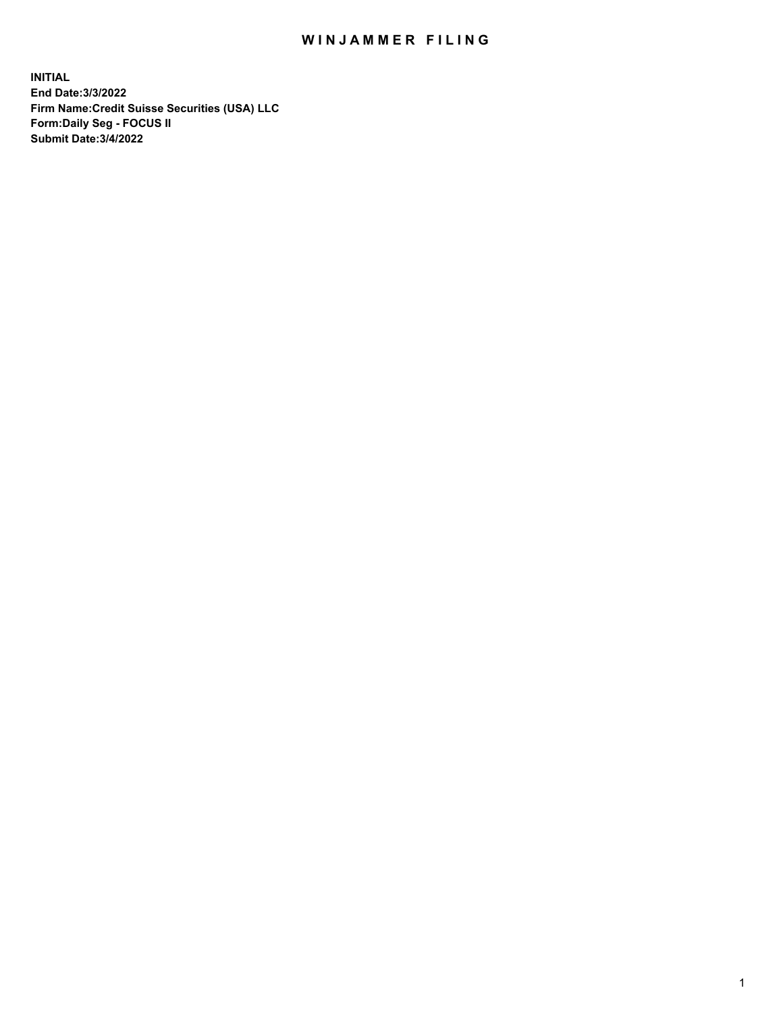## WIN JAMMER FILING

**INITIAL End Date:3/3/2022 Firm Name:Credit Suisse Securities (USA) LLC Form:Daily Seg - FOCUS II Submit Date:3/4/2022**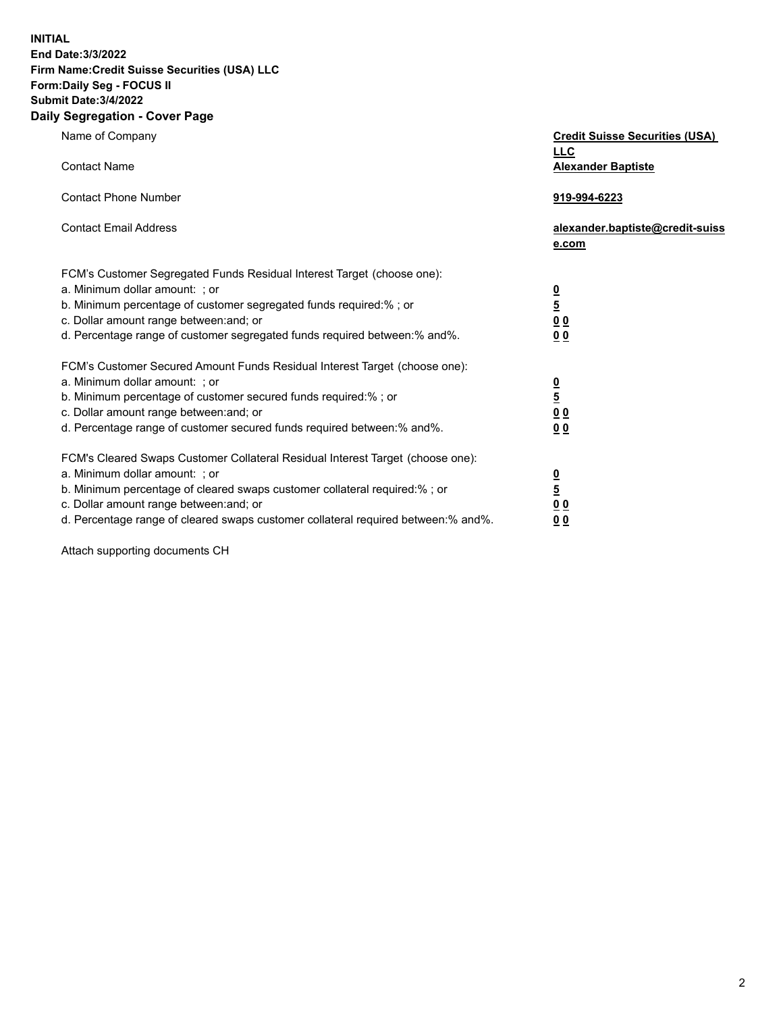**INITIAL** 

## **End Date:3/3/2022 Firm Name:Credit Suisse Securities (USA) LLC Form:Daily Seg - FOCUS II Submit Date:3/4/2022**

## **Daily Segregation - Cover Page**

| Name of Company                                                                                                                                                                                                                                                                                                                | <b>Credit Suisse Securities (USA)</b><br><b>LLC</b>                 |
|--------------------------------------------------------------------------------------------------------------------------------------------------------------------------------------------------------------------------------------------------------------------------------------------------------------------------------|---------------------------------------------------------------------|
| <b>Contact Name</b><br><b>Contact Phone Number</b>                                                                                                                                                                                                                                                                             | <b>Alexander Baptiste</b><br>919-994-6223                           |
| <b>Contact Email Address</b>                                                                                                                                                                                                                                                                                                   | alexander.baptiste@credit-suiss<br>e.com                            |
| FCM's Customer Segregated Funds Residual Interest Target (choose one):<br>a. Minimum dollar amount: ; or<br>b. Minimum percentage of customer segregated funds required:% ; or<br>c. Dollar amount range between: and; or<br>d. Percentage range of customer segregated funds required between:% and%.                         | $\frac{0}{5}$<br>$\underline{0}$ $\underline{0}$<br>00              |
| FCM's Customer Secured Amount Funds Residual Interest Target (choose one):<br>a. Minimum dollar amount: ; or<br>b. Minimum percentage of customer secured funds required:%; or<br>c. Dollar amount range between: and; or<br>d. Percentage range of customer secured funds required between:% and%.                            | $\frac{0}{5}$<br>0 <sub>0</sub><br>0 <sub>0</sub>                   |
| FCM's Cleared Swaps Customer Collateral Residual Interest Target (choose one):<br>a. Minimum dollar amount: ; or<br>b. Minimum percentage of cleared swaps customer collateral required:% ; or<br>c. Dollar amount range between: and; or<br>d. Percentage range of cleared swaps customer collateral required between:% and%. | <u>0</u><br>$\overline{5}$<br>$\underline{0}$ $\underline{0}$<br>00 |

Attach supporting documents CH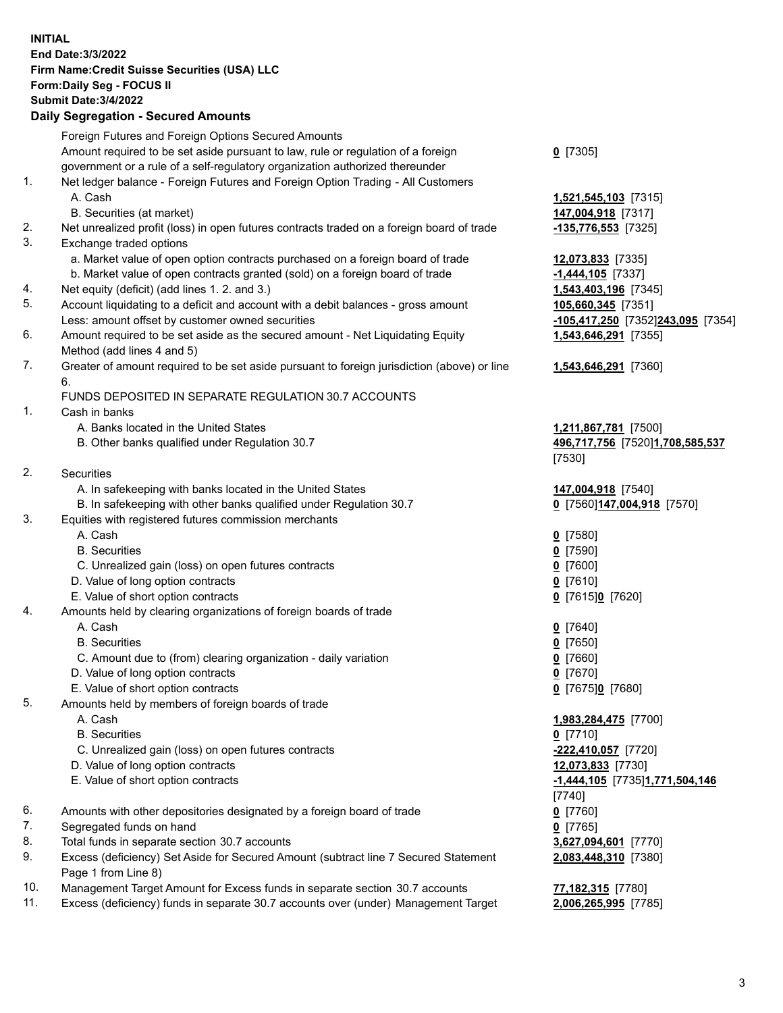**INITIAL End Date:3/3/2022 Firm Name:Credit Suisse Securities (USA) LLC Form:Daily Seg - FOCUS II Submit Date:3/4/2022** 

## **Daily Segregation - Secured Amounts**

|     | Foreign Futures and Foreign Options Secured Amounts                                                        |                                           |
|-----|------------------------------------------------------------------------------------------------------------|-------------------------------------------|
|     | Amount required to be set aside pursuant to law, rule or regulation of a foreign                           | $0$ [7305]                                |
|     | government or a rule of a self-regulatory organization authorized thereunder                               |                                           |
| 1.  | Net ledger balance - Foreign Futures and Foreign Option Trading - All Customers                            |                                           |
|     | A. Cash<br>B. Securities (at market)                                                                       | 1,521,545,103 [7315]                      |
| 2.  | Net unrealized profit (loss) in open futures contracts traded on a foreign board of trade                  | 147,004,918 [7317]<br>-135,776,553 [7325] |
| 3.  | Exchange traded options                                                                                    |                                           |
|     | a. Market value of open option contracts purchased on a foreign board of trade                             | 12,073,833 [7335]                         |
|     | b. Market value of open contracts granted (sold) on a foreign board of trade                               | $-1,444,105$ [7337]                       |
| 4.  | Net equity (deficit) (add lines 1. 2. and 3.)                                                              | 1,543,403,196 [7345]                      |
| 5.  | Account liquidating to a deficit and account with a debit balances - gross amount                          | 105,660,345 [7351]                        |
|     | Less: amount offset by customer owned securities                                                           | -105,417,250 [7352]243,095 [7354]         |
| 6.  | Amount required to be set aside as the secured amount - Net Liquidating Equity                             | <b>1,543,646,291</b> [7355]               |
|     | Method (add lines 4 and 5)                                                                                 |                                           |
| 7.  | Greater of amount required to be set aside pursuant to foreign jurisdiction (above) or line<br>6.          | 1,543,646,291 [7360]                      |
|     | FUNDS DEPOSITED IN SEPARATE REGULATION 30.7 ACCOUNTS                                                       |                                           |
| 1.  | Cash in banks                                                                                              |                                           |
|     | A. Banks located in the United States                                                                      | 1,211,867,781 [7500]                      |
|     | B. Other banks qualified under Regulation 30.7                                                             | 496,717,756 [7520]1,708,585,537           |
|     |                                                                                                            | [7530]                                    |
| 2.  | Securities                                                                                                 |                                           |
|     | A. In safekeeping with banks located in the United States                                                  | 147,004,918 [7540]                        |
|     | B. In safekeeping with other banks qualified under Regulation 30.7                                         | 0 [7560] 147,004,918 [7570]               |
| 3.  | Equities with registered futures commission merchants                                                      |                                           |
|     | A. Cash                                                                                                    | $0$ [7580]                                |
|     | <b>B.</b> Securities                                                                                       | $0$ [7590]                                |
|     | C. Unrealized gain (loss) on open futures contracts                                                        | $0$ [7600]                                |
|     | D. Value of long option contracts                                                                          | $0$ [7610]                                |
|     | E. Value of short option contracts                                                                         | 0 [7615]0 [7620]                          |
| 4.  | Amounts held by clearing organizations of foreign boards of trade                                          |                                           |
|     | A. Cash                                                                                                    | $0$ [7640]                                |
|     | <b>B.</b> Securities                                                                                       | $0$ [7650]                                |
|     | C. Amount due to (from) clearing organization - daily variation                                            | $0$ [7660]                                |
|     | D. Value of long option contracts                                                                          | $0$ [7670]                                |
| 5.  | E. Value of short option contracts                                                                         | 0 [7675]0 [7680]                          |
|     | Amounts held by members of foreign boards of trade<br>A. Cash                                              | 1,983,284,475 [7700]                      |
|     | <b>B.</b> Securities                                                                                       | $0$ [7710]                                |
|     | C. Unrealized gain (loss) on open futures contracts                                                        | -222,410,057 [7720]                       |
|     | D. Value of long option contracts                                                                          | 12,073,833 [7730]                         |
|     | E. Value of short option contracts                                                                         | -1,444,105 [7735]1,771,504,146            |
|     |                                                                                                            | [7740]                                    |
| 6.  | Amounts with other depositories designated by a foreign board of trade                                     | $0$ [7760]                                |
| 7.  | Segregated funds on hand                                                                                   | $0$ [7765]                                |
| 8.  | Total funds in separate section 30.7 accounts                                                              | 3,627,094,601 [7770]                      |
| 9.  | Excess (deficiency) Set Aside for Secured Amount (subtract line 7 Secured Statement<br>Page 1 from Line 8) | 2,083,448,310 [7380]                      |
| 10. | Management Target Amount for Excess funds in separate section 30.7 accounts                                | 77,182,315 [7780]                         |
|     |                                                                                                            |                                           |

11. Excess (deficiency) funds in separate 30.7 accounts over (under) Management Target **2,006,265,995** [7785]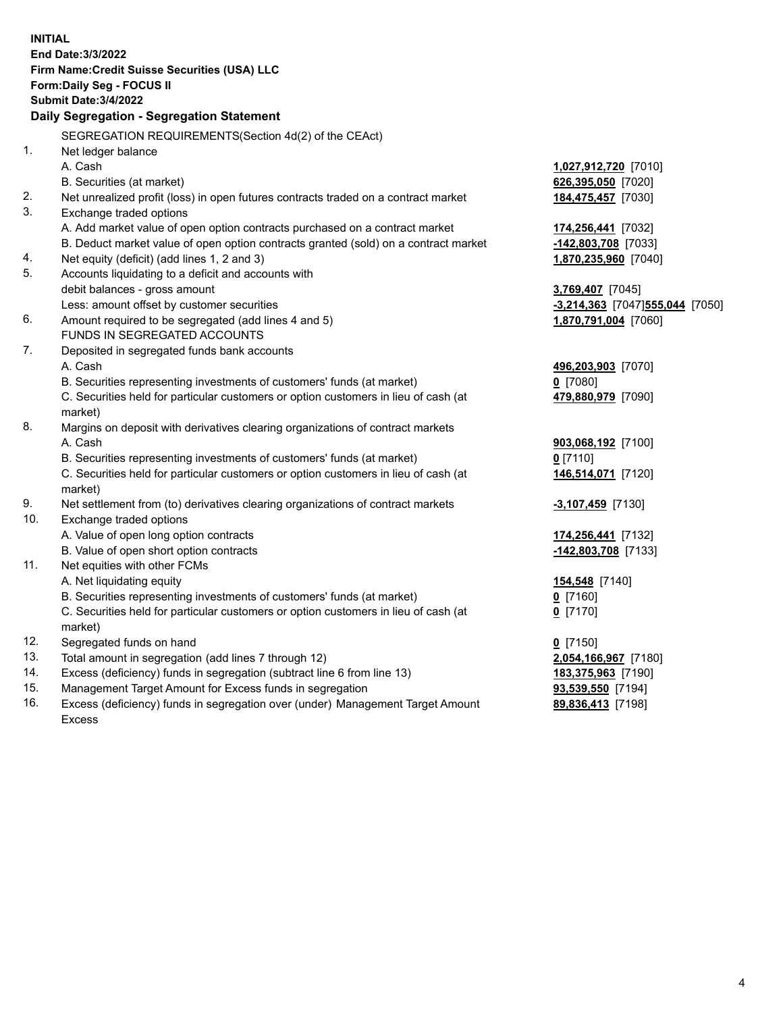| <b>INITIAL</b> | End Date: 3/3/2022<br>Firm Name: Credit Suisse Securities (USA) LLC<br>Form: Daily Seg - FOCUS II<br><b>Submit Date: 3/4/2022</b><br>Daily Segregation - Segregation Statement |                                   |
|----------------|--------------------------------------------------------------------------------------------------------------------------------------------------------------------------------|-----------------------------------|
|                | SEGREGATION REQUIREMENTS(Section 4d(2) of the CEAct)                                                                                                                           |                                   |
| 1.             | Net ledger balance                                                                                                                                                             |                                   |
|                | A. Cash                                                                                                                                                                        | 1,027,912,720 [7010]              |
|                | B. Securities (at market)                                                                                                                                                      | 626,395,050 [7020]                |
| 2.             | Net unrealized profit (loss) in open futures contracts traded on a contract market                                                                                             | 184,475,457 [7030]                |
| 3.             | Exchange traded options                                                                                                                                                        |                                   |
|                | A. Add market value of open option contracts purchased on a contract market                                                                                                    | 174,256,441 [7032]                |
|                | B. Deduct market value of open option contracts granted (sold) on a contract market                                                                                            | -142,803,708 [7033]               |
| 4.             | Net equity (deficit) (add lines 1, 2 and 3)                                                                                                                                    | 1,870,235,960 [7040]              |
| 5.             | Accounts liquidating to a deficit and accounts with                                                                                                                            |                                   |
|                | debit balances - gross amount                                                                                                                                                  | 3,769,407 [7045]                  |
|                | Less: amount offset by customer securities                                                                                                                                     | $-3,214,363$ [7047]555,044 [7050] |
| 6.             | Amount required to be segregated (add lines 4 and 5)                                                                                                                           | 1,870,791,004 [7060]              |
|                | FUNDS IN SEGREGATED ACCOUNTS                                                                                                                                                   |                                   |
| 7.             | Deposited in segregated funds bank accounts                                                                                                                                    |                                   |
|                | A. Cash                                                                                                                                                                        | 496,203,903 [7070]                |
|                | B. Securities representing investments of customers' funds (at market)                                                                                                         | $0$ [7080]                        |
|                | C. Securities held for particular customers or option customers in lieu of cash (at                                                                                            | 479,880,979 [7090]                |
|                | market)                                                                                                                                                                        |                                   |
| 8.             | Margins on deposit with derivatives clearing organizations of contract markets                                                                                                 |                                   |
|                | A. Cash                                                                                                                                                                        | 903,068,192 [7100]                |
|                | B. Securities representing investments of customers' funds (at market)                                                                                                         | $0$ [7110]                        |
|                | C. Securities held for particular customers or option customers in lieu of cash (at                                                                                            | 146,514,071 [7120]                |
|                | market)                                                                                                                                                                        |                                   |
| 9.             | Net settlement from (to) derivatives clearing organizations of contract markets                                                                                                | $-3,107,459$ [7130]               |
| 10.            | Exchange traded options                                                                                                                                                        |                                   |
|                | A. Value of open long option contracts                                                                                                                                         | 174,256,441 [7132]                |
|                | B. Value of open short option contracts                                                                                                                                        | -142,803,708 [7133]               |
| 11.            | Net equities with other FCMs                                                                                                                                                   |                                   |
|                | A. Net liquidating equity                                                                                                                                                      | 154,548 [7140]                    |
|                | B. Securities representing investments of customers' funds (at market)                                                                                                         | $Q$ [7160]                        |
|                | C. Securities held for particular customers or option customers in lieu of cash (at                                                                                            | $0$ [7170]                        |
|                | market)                                                                                                                                                                        |                                   |
| 12.            | Segregated funds on hand                                                                                                                                                       | $0$ [7150]                        |
| 13.            | Total amount in segregation (add lines 7 through 12)                                                                                                                           | 2,054,166,967 [7180]              |
| 14.<br>15.     | Excess (deficiency) funds in segregation (subtract line 6 from line 13)                                                                                                        | 183,375,963 [7190]                |
|                | Management Target Amount for Excess funds in segregation                                                                                                                       | 93,539,550 [7194]                 |
| 16.            | Excess (deficiency) funds in segregation over (under) Management Target Amount<br>Excess                                                                                       | 89,836,413 [7198]                 |